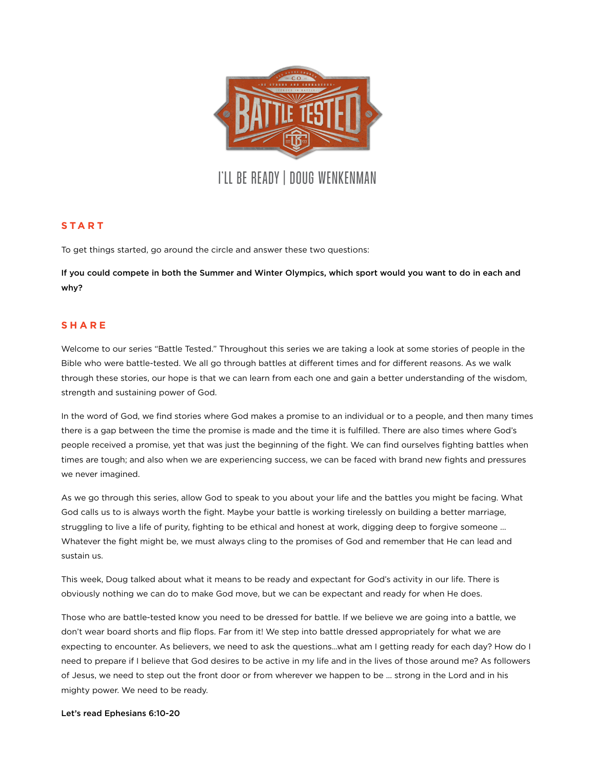

# I'LL BE READY | DOUG WENKENMAN

# **START**

To get things started, go around the circle and answer these two questions:

If you could compete in both the Summer and Winter Olympics, which sport would you want to do in each and why?

## **SHARE**

Welcome to our series "Battle Tested." Throughout this series we are taking a look at some stories of people in the Bible who were battle-tested. We all go through battles at different times and for different reasons. As we walk through these stories, our hope is that we can learn from each one and gain a better understanding of the wisdom, strength and sustaining power of God.

In the word of God, we find stories where God makes a promise to an individual or to a people, and then many times there is a gap between the time the promise is made and the time it is fulfilled. There are also times where God's people received a promise, yet that was just the beginning of the fight. We can find ourselves fighting battles when times are tough; and also when we are experiencing success, we can be faced with brand new fights and pressures we never imagined.

As we go through this series, allow God to speak to you about your life and the battles you might be facing. What God calls us to is always worth the fight. Maybe your battle is working tirelessly on building a better marriage, struggling to live a life of purity, fighting to be ethical and honest at work, digging deep to forgive someone … Whatever the fight might be, we must always cling to the promises of God and remember that He can lead and sustain us.

This week, Doug talked about what it means to be ready and expectant for God's activity in our life. There is obviously nothing we can do to make God move, but we can be expectant and ready for when He does.

Those who are battle-tested know you need to be dressed for battle. If we believe we are going into a battle, we don't wear board shorts and flip flops. Far from it! We step into battle dressed appropriately for what we are expecting to encounter. As believers, we need to ask the questions…what am I getting ready for each day? How do I need to prepare if I believe that God desires to be active in my life and in the lives of those around me? As followers of Jesus, we need to step out the front door or from wherever we happen to be … strong in the Lord and in his mighty power. We need to be ready.

#### Let's read Ephesians 6:10-20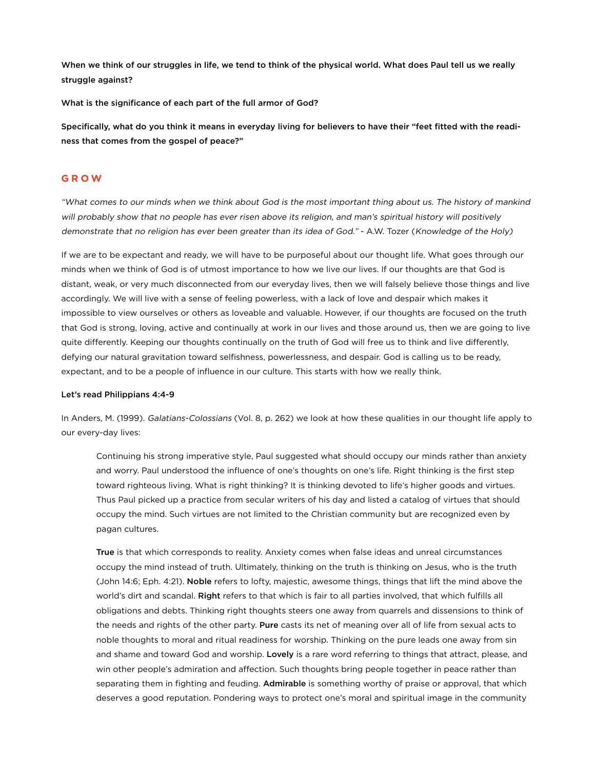When we think of our struggles in life, we tend to think of the physical world. What does Paul tell us we really struggle against?

What is the significance of each part of the full armor of God?

Specifically, what do you think it means in everyday living for believers to have their "feet fitted with the readiness that comes from the gospel of peace?"

## **GROW**

"What comes to our minds when we think about God is the most important thing about us. The history of mankind will probably show that no people has ever risen above its religion, and man's spiritual history will positively demonstrate that no religion has ever been greater than its idea of God." - A.W. Tozer (Knowledge of the Holy)

If we are to be expectant and ready, we will have to be purposeful about our thought life. What goes through our minds when we think of God is of utmost importance to how we live our lives. If our thoughts are that God is distant, weak, or very much disconnected from our everyday lives, then we will falsely believe those things and live accordingly. We will live with a sense of feeling powerless, with a lack of love and despair which makes it impossible to view ourselves or others as loveable and valuable. However, if our thoughts are focused on the truth that God is strong, loving, active and continually at work in our lives and those around us, then we are going to live quite differently. Keeping our thoughts continually on the truth of God will free us to think and live differently, defying our natural gravitation toward selfishness, powerlessness, and despair. God is calling us to be ready, expectant, and to be a people of influence in our culture. This starts with how we really think.

#### Let's read Philippians 4:4-9

In Anders, M. (1999). Galatians-Colossians (Vol. 8, p. 262) we look at how these qualities in our thought life apply to our every-day lives:

Continuing his strong imperative style, Paul suggested what should occupy our minds rather than anxiety and worry. Paul understood the influence of one's thoughts on one's life. Right thinking is the first step toward righteous living. What is right thinking? It is thinking devoted to life's higher goods and virtues. Thus Paul picked up a practice from secular writers of his day and listed a catalog of virtues that should occupy the mind. Such virtues are not limited to the Christian community but are recognized even by pagan cultures.

True is that which corresponds to reality. Anxiety comes when false ideas and unreal circumstances occupy the mind instead of truth. Ultimately, thinking on the truth is thinking on Jesus, who is the truth (John 14:6; Eph. 4:21). Noble refers to lofty, majestic, awesome things, things that lift the mind above the world's dirt and scandal. Right refers to that which is fair to all parties involved, that which fulfills all obligations and debts. Thinking right thoughts steers one away from quarrels and dissensions to think of the needs and rights of the other party. Pure casts its net of meaning over all of life from sexual acts to noble thoughts to moral and ritual readiness for worship. Thinking on the pure leads one away from sin and shame and toward God and worship. Lovely is a rare word referring to things that attract, please, and win other people's admiration and affection. Such thoughts bring people together in peace rather than separating them in fighting and feuding. Admirable is something worthy of praise or approval, that which deserves a good reputation. Pondering ways to protect one's moral and spiritual image in the community